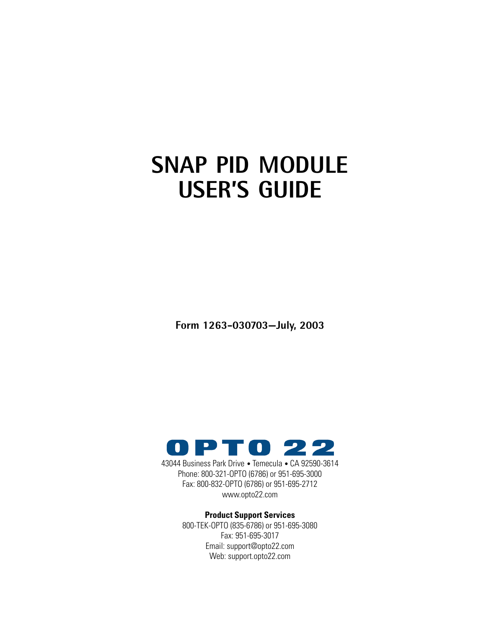# **SNAP PID MODULE USER'S GUIDE**

**Form 1263-030703—July, 2003**



43044 Business Park Drive • Temecula • CA 92590-3614 Phone: 800-321-OPTO (6786) or 951-695-3000 Fax: 800-832-OPTO (6786) or 951-695-2712 www.opto22.com

#### **Product Support Services**

800-TEK-OPTO (835-6786) or 951-695-3080 Fax: 951-695-3017 Email: support@opto22.com Web: support.opto22.com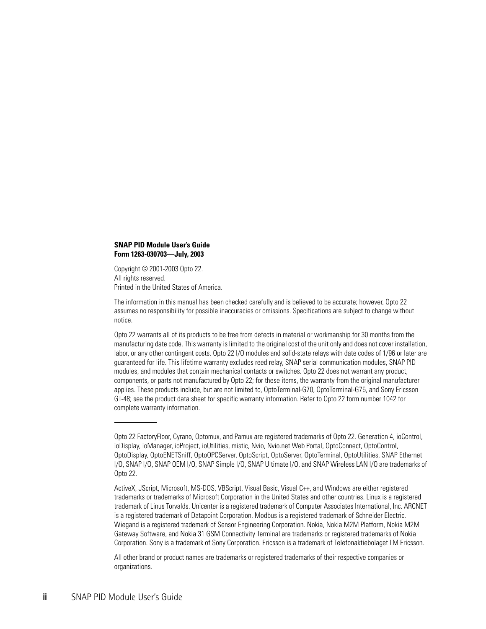#### **SNAP PID Module User's Guide Form 1263-030703—July, 2003**

Copyright © 2001-2003 Opto 22. All rights reserved. Printed in the United States of America.

The information in this manual has been checked carefully and is believed to be accurate; however, Opto 22 assumes no responsibility for possible inaccuracies or omissions. Specifications are subject to change without notice.

Opto 22 warrants all of its products to be free from defects in material or workmanship for 30 months from the manufacturing date code. This warranty is limited to the original cost of the unit only and does not cover installation, labor, or any other contingent costs. Opto 22 I/O modules and solid-state relays with date codes of 1/96 or later are guaranteed for life. This lifetime warranty excludes reed relay, SNAP serial communication modules, SNAP PID modules, and modules that contain mechanical contacts or switches. Opto 22 does not warrant any product, components, or parts not manufactured by Opto 22; for these items, the warranty from the original manufacturer applies. These products include, but are not limited to, OptoTerminal-G70, OptoTerminal-G75, and Sony Ericsson GT-48; see the product data sheet for specific warranty information. Refer to Opto 22 form number 1042 for complete warranty information.

All other brand or product names are trademarks or registered trademarks of their respective companies or organizations.

Opto 22 FactoryFloor, Cyrano, Optomux, and Pamux are registered trademarks of Opto 22. Generation 4, ioControl, ioDisplay, ioManager, ioProject, ioUtilities, mistic, Nvio, Nvio.net Web Portal, OptoConnect, OptoControl, OptoDisplay, OptoENETSniff, OptoOPCServer, OptoScript, OptoServer, OptoTerminal, OptoUtilities, SNAP Ethernet I/O, SNAP I/O, SNAP OEM I/O, SNAP Simple I/O, SNAP Ultimate I/O, and SNAP Wireless LAN I/O are trademarks of Opto 22.

ActiveX, JScript, Microsoft, MS-DOS, VBScript, Visual Basic, Visual C++, and Windows are either registered trademarks or trademarks of Microsoft Corporation in the United States and other countries. Linux is a registered trademark of Linus Torvalds. Unicenter is a registered trademark of Computer Associates International, Inc. ARCNET is a registered trademark of Datapoint Corporation. Modbus is a registered trademark of Schneider Electric. Wiegand is a registered trademark of Sensor Engineering Corporation. Nokia, Nokia M2M Platform, Nokia M2M Gateway Software, and Nokia 31 GSM Connectivity Terminal are trademarks or registered trademarks of Nokia Corporation. Sony is a trademark of Sony Corporation. Ericsson is a trademark of Telefonaktiebolaget LM Ericsson.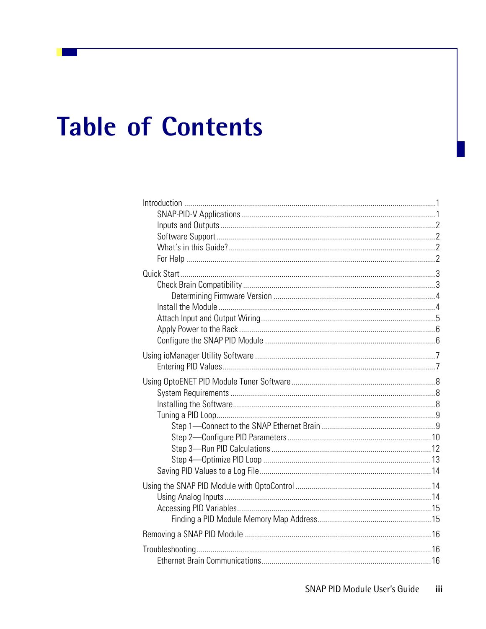# **Table of Contents**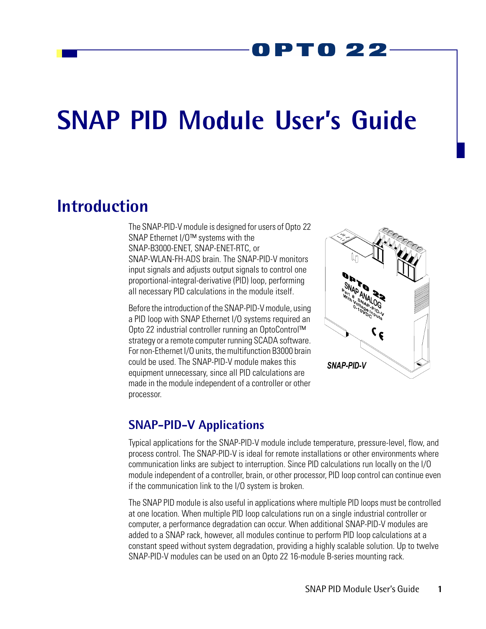# PT0 22

# **SNAP PID Module User's Guide**

# <span id="page-4-0"></span>**Introduction**

The SNAP-PID-V module is designed for users of Opto 22 SNAP Ethernet I/O™ systems with the SNAP-B3000-ENET, SNAP-ENET-RTC, or SNAP-WLAN-FH-ADS brain. The SNAP-PID-V monitors input signals and adjusts output signals to control one proportional-integral-derivative (PID) loop, performing all necessary PID calculations in the module itself.

Before the introduction of the SNAP-PID-V module, using a PID loop with SNAP Ethernet I/O systems required an Opto 22 industrial controller running an OptoControl™ strategy or a remote computer running SCADA software. For non-Ethernet I/O units, the multifunction B3000 brain could be used. The SNAP-PID-V module makes this equipment unnecessary, since all PID calculations are made in the module independent of a controller or other processor.



#### <span id="page-4-1"></span>**SNAP-PID-V Applications**

Typical applications for the SNAP-PID-V module include temperature, pressure-level, flow, and process control. The SNAP-PID-V is ideal for remote installations or other environments where communication links are subject to interruption. Since PID calculations run locally on the I/O module independent of a controller, brain, or other processor, PID loop control can continue even if the communication link to the I/O system is broken.

The SNAP PID module is also useful in applications where multiple PID loops must be controlled at one location. When multiple PID loop calculations run on a single industrial controller or computer, a performance degradation can occur. When additional SNAP-PID-V modules are added to a SNAP rack, however, all modules continue to perform PID loop calculations at a constant speed without system degradation, providing a highly scalable solution. Up to twelve SNAP-PID-V modules can be used on an Opto 22 16-module B-series mounting rack.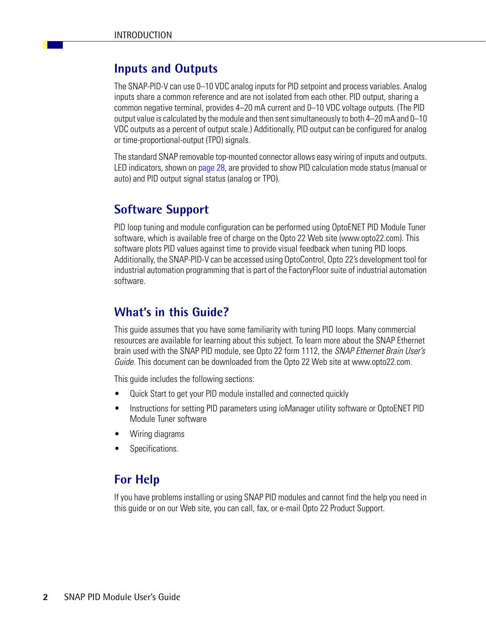## <span id="page-5-0"></span>**Inputs and Outputs**

The SNAP-PID-V can use 0–10 VDC analog inputs for PID setpoint and process variables. Analog inputs share a common reference and are not isolated from each other. PID output, sharing a common negative terminal, provides 4–20 mA current and 0–10 VDC voltage outputs. (The PID output value is calculated by the module and then sent simultaneously to both 4–20 mA and 0–10 VDC outputs as a percent of output scale.) Additionally, PID output can be configured for analog or time-proportional-output (TPO) signals.

The standard SNAP removable top-mounted connector allows easy wiring of inputs and outputs. LED indicators, shown on [page 28](#page-31-1), are provided to show PID calculation mode status (manual or auto) and PID output signal status (analog or TPO).

# <span id="page-5-1"></span>**Software Support**

PID loop tuning and module configuration can be performed using OptoENET PID Module Tuner software, which is available free of charge on the Opto 22 Web site (www.opto22.com). This software plots PID values against time to provide visual feedback when tuning PID loops. Additionally, the SNAP-PID-V can be accessed using OptoControl, Opto 22's development tool for industrial automation programming that is part of the FactoryFloor suite of industrial automation software.

## <span id="page-5-2"></span>**What's in this Guide?**

This guide assumes that you have some familiarity with tuning PID loops. Many commercial resources are available for learning about this subject. To learn more about the SNAP Ethernet brain used with the SNAP PID module, see Opto 22 form 1112, the *SNAP Ethernet Brain User's Guide.* This document can be downloaded from the Opto 22 Web site at www.opto22.com.

This guide includes the following sections:

- Quick Start to get your PID module installed and connected quickly
- Instructions for setting PID parameters using ioManager utility software or OptoENET PID Module Tuner software
- Wiring diagrams
- Specifications.

## <span id="page-5-3"></span>**For Help**

If you have problems installing or using SNAP PID modules and cannot find the help you need in this guide or on our Web site, you can call, fax, or e-mail Opto 22 Product Support.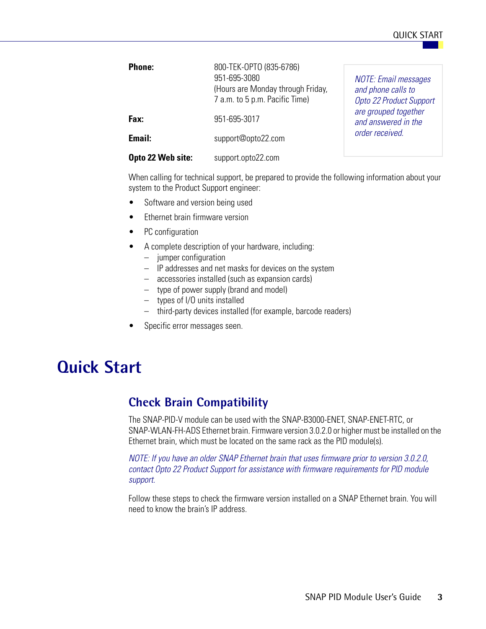#### QUICK START

| <b>Phone:</b>     | 800-TEK-OPTO (835-6786)<br>951-695-3080<br>(Hours are Monday through Friday,<br>7 a.m. to 5 p.m. Pacific Time) | <b>NOTE: Email messages</b><br>and phone calls to<br><b>Opto 22 Product Support</b> |  |  |
|-------------------|----------------------------------------------------------------------------------------------------------------|-------------------------------------------------------------------------------------|--|--|
| Fax:              | 951-695-3017                                                                                                   | are grouped together<br>and answered in the                                         |  |  |
| Email:            | support@opto22.com                                                                                             | order received.                                                                     |  |  |
| Opto 22 Web site: | support.opto22.com                                                                                             |                                                                                     |  |  |

When calling for technical support, be prepared to provide the following information about your system to the Product Support engineer:

- Software and version being used
- Ethernet brain firmware version
- PC configuration
- A complete description of your hardware, including:
	- jumper configuration
	- IP addresses and net masks for devices on the system
	- accessories installed (such as expansion cards)
	- type of power supply (brand and model)
	- types of I/O units installed
	- third-party devices installed (for example, barcode readers)
- Specific error messages seen.

# <span id="page-6-0"></span>**Quick Start**

## <span id="page-6-1"></span>**Check Brain Compatibility**

The SNAP-PID-V module can be used with the SNAP-B3000-ENET, SNAP-ENET-RTC, or SNAP-WLAN-FH-ADS Ethernet brain. Firmware version 3.0.2.0 or higher must be installed on the Ethernet brain, which must be located on the same rack as the PID module(s).

*NOTE: If you have an older SNAP Ethernet brain that uses firmware prior to version 3.0.2.0, contact Opto 22 Product Support for assistance with firmware requirements for PID module support.*

Follow these steps to check the firmware version installed on a SNAP Ethernet brain. You will need to know the brain's IP address.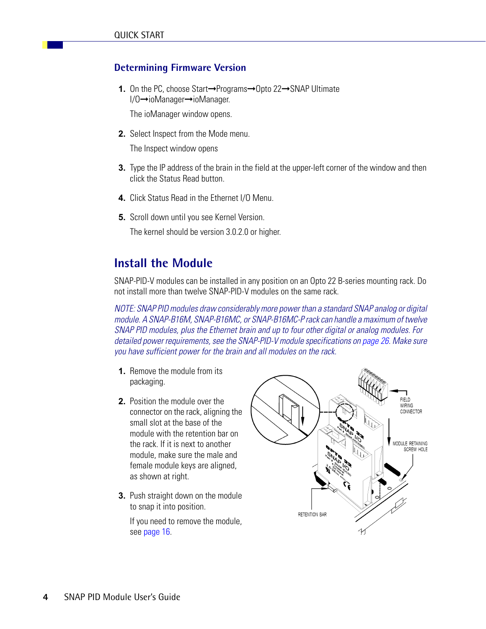#### <span id="page-7-0"></span>**Determining Firmware Version**

**1.** On the PC, choose Start→Programs→Opto 22→SNAP Ultimate I/O➞ioManager➞ioManager.

The ioManager window opens.

**2.** Select Inspect from the Mode menu.

The Inspect window opens

- **3.** Type the IP address of the brain in the field at the upper-left corner of the window and then click the Status Read button.
- **4.** Click Status Read in the Ethernet I/O Menu.
- **5.** Scroll down until you see Kernel Version.

The kernel should be version 3.0.2.0 or higher.

#### <span id="page-7-1"></span>**Install the Module**

SNAP-PID-V modules can be installed in any position on an Opto 22 B-series mounting rack. Do not install more than twelve SNAP-PID-V modules on the same rack.

*NOTE: SNAP PID modules draw considerably more power than a standard SNAP analog or digital module. A SNAP-B16M, SNAP-B16MC, or SNAP-B16MC-P rack can handle a maximum of twelve SNAP PID modules, plus the Ethernet brain and up to four other digital or analog modules. For detailed power requirements, see the SNAP-PID-V module specifications on [page 26.](#page-29-0) Make sure you have sufficient power for the brain and all modules on the rack.*

- **1.** Remove the module from its packaging.
- **2.** Position the module over the connector on the rack, aligning the small slot at the base of the module with the retention bar on the rack. If it is next to another module, make sure the male and female module keys are aligned, as shown at right.
- **3.** Push straight down on the module to snap it into position.

If you need to remove the module, see [page 16](#page-19-0).

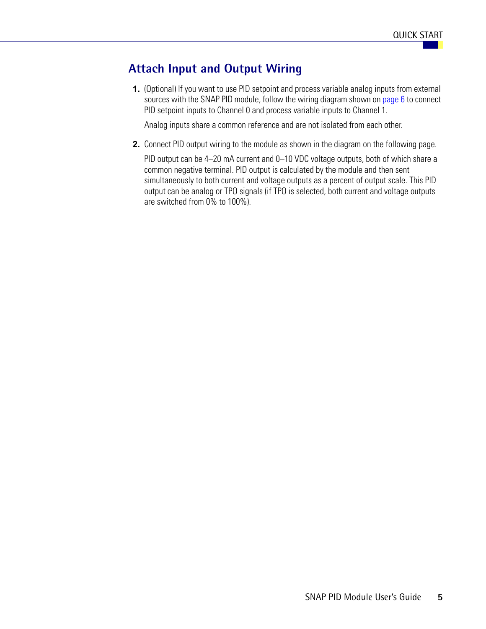#### <span id="page-8-0"></span>**Attach Input and Output Wiring**

**1.** (Optional) If you want to use PID setpoint and process variable analog inputs from external sources with the SNAP PID module, follow the wiring diagram shown on [page 6](#page-9-2) to connect PID setpoint inputs to Channel 0 and process variable inputs to Channel 1.

Analog inputs share a common reference and are not isolated from each other.

**2.** Connect PID output wiring to the module as shown in the diagram on the following page.

PID output can be 4–20 mA current and 0–10 VDC voltage outputs, both of which share a common negative terminal. PID output is calculated by the module and then sent simultaneously to both current and voltage outputs as a percent of output scale. This PID output can be analog or TPO signals (if TPO is selected, both current and voltage outputs are switched from 0% to 100%).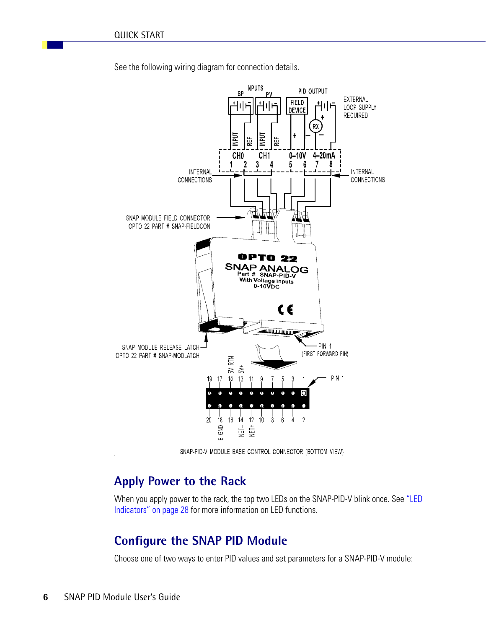<span id="page-9-2"></span>



SNAP-PID-V MODULE BASE CONTROL CONNECTOR (BOTTOM VIEW)

#### <span id="page-9-0"></span>**Apply Power to the Rack**

When you apply power to the rack, the top two LEDs on the SNAP-PID-V blink once. See ["LED](#page-31-1)  [Indicators" on page 28](#page-31-1) for more information on LED functions.

#### <span id="page-9-1"></span>**Configure the SNAP PID Module**

Choose one of two ways to enter PID values and set parameters for a SNAP-PID-V module: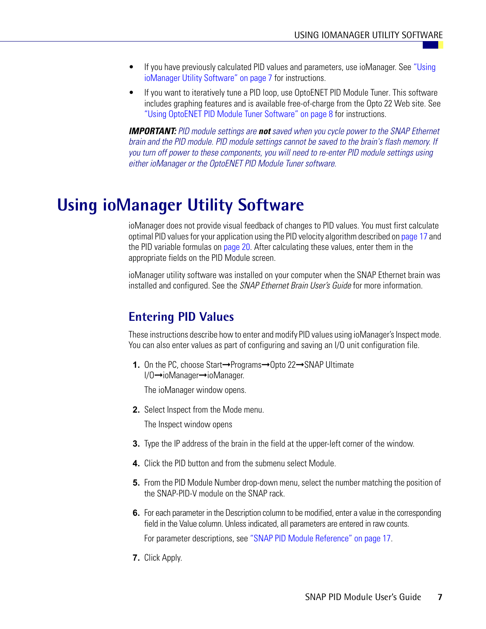- If you have previously calculated PID values and parameters, use ioManager. See ["Using](#page-10-0)  [ioManager Utility Software" on page 7](#page-10-0) for instructions.
- If you want to iteratively tune a PID loop, use OptoENET PID Module Tuner. This software includes graphing features and is available free-of-charge from the Opto 22 Web site. See ["Using OptoENET PID Module Tuner Software" on page 8](#page-11-0) for instructions.

*IMPORTANT: PID module settings are not saved when you cycle power to the SNAP Ethernet brain and the PID module. PID module settings cannot be saved to the brain's flash memory. If you turn off power to these components, you will need to re-enter PID module settings using either ioManager or the OptoENET PID Module Tuner software.*

# <span id="page-10-0"></span>**Using ioManager Utility Software**

ioManager does not provide visual feedback of changes to PID values. You must first calculate optimal PID values for your application using the PID velocity algorithm described on [page 17](#page-20-1) and the PID variable formulas on [page 20](#page-23-1). After calculating these values, enter them in the appropriate fields on the PID Module screen.

ioManager utility software was installed on your computer when the SNAP Ethernet brain was installed and configured. See the *SNAP Ethernet Brain User's Guide* for more information.

## <span id="page-10-1"></span>**Entering PID Values**

These instructions describe how to enter and modify PID values using ioManager's Inspect mode. You can also enter values as part of configuring and saving an I/O unit configuration file.

**1.** On the PC, choose Start→Programs→Opto 22→SNAP Ultimate I/O➞ioManager➞ioManager.

The ioManager window opens.

**2.** Select Inspect from the Mode menu.

The Inspect window opens

- **3.** Type the IP address of the brain in the field at the upper-left corner of the window.
- **4.** Click the PID button and from the submenu select Module.
- **5.** From the PID Module Number drop-down menu, select the number matching the position of the SNAP-PID-V module on the SNAP rack.
- **6.** For each parameter in the Description column to be modified, enter a value in the corresponding field in the Value column. Unless indicated, all parameters are entered in raw counts. For parameter descriptions, see ["SNAP PID Module Reference" on page 17.](#page-20-0)
- **7.** Click Apply.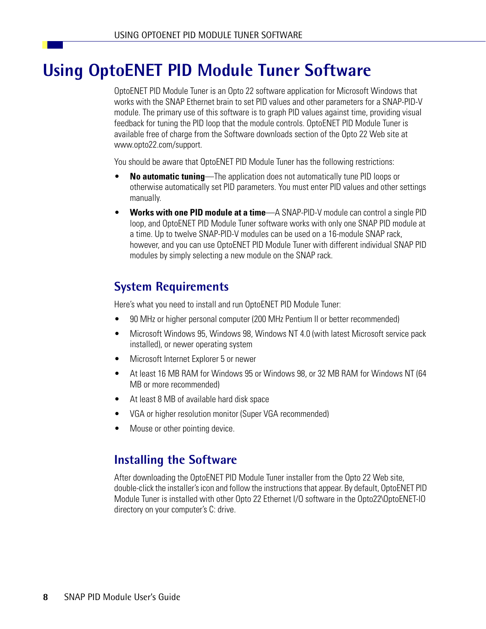# <span id="page-11-0"></span>**Using OptoENET PID Module Tuner Software**

OptoENET PID Module Tuner is an Opto 22 software application for Microsoft Windows that works with the SNAP Ethernet brain to set PID values and other parameters for a SNAP-PID-V module. The primary use of this software is to graph PID values against time, providing visual feedback for tuning the PID loop that the module controls. OptoENET PID Module Tuner is available free of charge from the Software downloads section of the Opto 22 Web site at www.opto22.com/support.

You should be aware that OptoENET PID Module Tuner has the following restrictions:

- **No automatic tuning**—The application does not automatically tune PID loops or otherwise automatically set PID parameters. You must enter PID values and other settings manually.
- **Works with one PID module at a time**—A SNAP-PID-V module can control a single PID loop, and OptoENET PID Module Tuner software works with only one SNAP PID module at a time. Up to twelve SNAP-PID-V modules can be used on a 16-module SNAP rack, however, and you can use OptoENET PID Module Tuner with different individual SNAP PID modules by simply selecting a new module on the SNAP rack.

### <span id="page-11-1"></span>**System Requirements**

Here's what you need to install and run OptoENET PID Module Tuner:

- 90 MHz or higher personal computer (200 MHz Pentium II or better recommended)
- Microsoft Windows 95, Windows 98, Windows NT 4.0 (with latest Microsoft service pack installed), or newer operating system
- Microsoft Internet Explorer 5 or newer
- At least 16 MB RAM for Windows 95 or Windows 98, or 32 MB RAM for Windows NT (64 MB or more recommended)
- At least 8 MB of available hard disk space
- VGA or higher resolution monitor (Super VGA recommended)
- Mouse or other pointing device.

#### <span id="page-11-2"></span>**Installing the Software**

After downloading the OptoENET PID Module Tuner installer from the Opto 22 Web site, double-click the installer's icon and follow the instructions that appear. By default, OptoENET PID Module Tuner is installed with other Opto 22 Ethernet I/O software in the Opto22\OptoENET-IO directory on your computer's C: drive.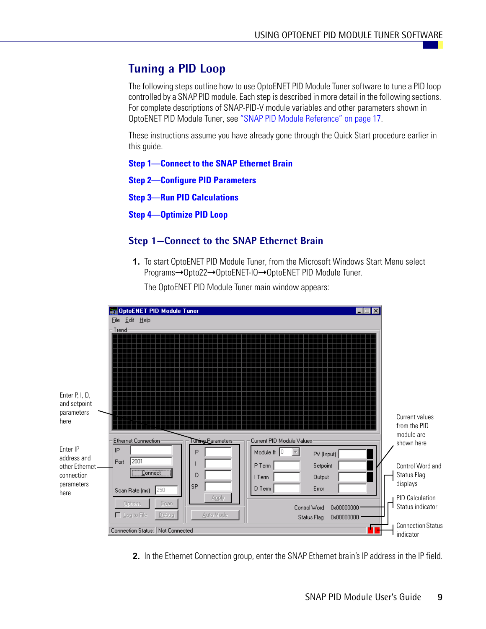## <span id="page-12-0"></span>**Tuning a PID Loop**

The following steps outline how to use OptoENET PID Module Tuner software to tune a PID loop controlled by a SNAP PID module. Each step is described in more detail in the following sections. For complete descriptions of SNAP-PID-V module variables and other parameters shown in OptoENET PID Module Tuner, see ["SNAP PID Module Reference" on page 17](#page-20-0).

These instructions assume you have already gone through the Quick Start procedure earlier in this guide.

**[Step 1—Connect to the SNAP Ethernet Brain](#page-12-1)**

**[Step 2—Configure PID Parameters](#page-13-0)**

**[Step 3—Run PID Calculations](#page-15-0)**

**[Step 4—Optimize PID Loop](#page-16-0)**

#### <span id="page-12-1"></span>**Step 1—Connect to the SNAP Ethernet Brain**

**1.** To start OptoENET PID Module Tuner, from the Microsoft Windows Start Menu select Programs➞Opto22➞OptoENET-IO➞OptoENET PID Module Tuner.



The OptoENET PID Module Tuner main window appears:

**2.** In the Ethernet Connection group, enter the SNAP Ethernet brain's IP address in the IP field.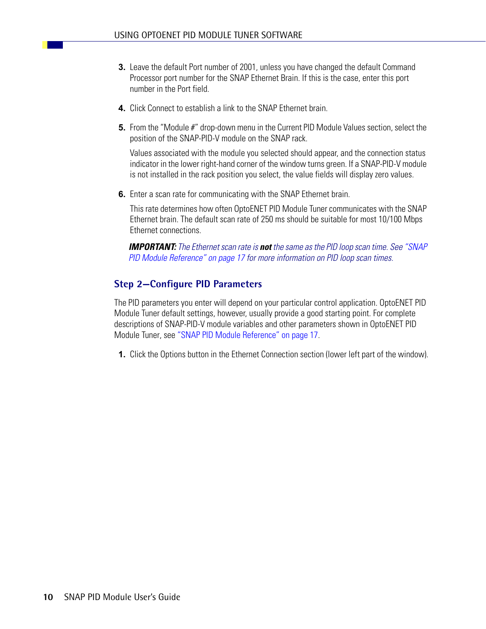- **3.** Leave the default Port number of 2001, unless you have changed the default Command Processor port number for the SNAP Ethernet Brain. If this is the case, enter this port number in the Port field.
- **4.** Click Connect to establish a link to the SNAP Ethernet brain.
- **5.** From the "Module #" drop-down menu in the Current PID Module Values section, select the position of the SNAP-PID-V module on the SNAP rack.

Values associated with the module you selected should appear, and the connection status indicator in the lower right-hand corner of the window turns green. If a SNAP-PID-V module is not installed in the rack position you select, the value fields will display zero values.

**6.** Enter a scan rate for communicating with the SNAP Ethernet brain.

This rate determines how often OptoENET PID Module Tuner communicates with the SNAP Ethernet brain. The default scan rate of 250 ms should be suitable for most 10/100 Mbps Ethernet connections.

*IMPORTANT: The Ethernet scan rate is not the same as the PID loop scan time. See ["SNAP](#page-20-0)  [PID Module Reference" on page 17](#page-20-0) for more information on PID loop scan times.*

#### <span id="page-13-0"></span>**Step 2—Configure PID Parameters**

The PID parameters you enter will depend on your particular control application. OptoENET PID Module Tuner default settings, however, usually provide a good starting point. For complete descriptions of SNAP-PID-V module variables and other parameters shown in OptoENET PID Module Tuner, see ["SNAP PID Module Reference" on page 17.](#page-20-0)

**1.** Click the Options button in the Ethernet Connection section (lower left part of the window).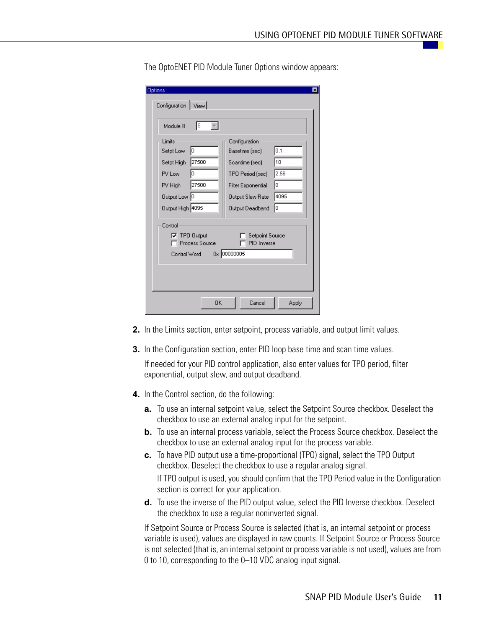| Options<br>Configuration   View       |                                |       |
|---------------------------------------|--------------------------------|-------|
| Iв<br>Module #                        |                                |       |
| Limits                                | Configuration                  |       |
| Iо<br>Setpt Low                       | Basetime [sec]                 | 0.1   |
| 27500<br>Setpt High                   | Scantime [sec]                 | 10    |
| lо<br>PV Low                          | TPO Period [sec]               | 2.56  |
| 27500<br>PV High                      | <b>Filter Exponential</b>      | Iо    |
| Output Low 0                          | Output Slew Rate               | 4095  |
| Output High 4095                      | Output Deadband                | ſо    |
| Control                               |                                |       |
| $\nabla$ TPO Output<br>Process Source | Setpoint Source<br>PID Inverse |       |
| Control Word                          | 0x 00000005                    |       |
|                                       |                                |       |
|                                       |                                |       |
| 0K                                    | Cancel                         | Apply |

The OptoENET PID Module Tuner Options window appears:

- **2.** In the Limits section, enter setpoint, process variable, and output limit values.
- **3.** In the Configuration section, enter PID loop base time and scan time values.

If needed for your PID control application, also enter values for TPO period, filter exponential, output slew, and output deadband.

- **4.** In the Control section, do the following:
	- **a.** To use an internal setpoint value, select the Setpoint Source checkbox. Deselect the checkbox to use an external analog input for the setpoint.
	- **b.** To use an internal process variable, select the Process Source checkbox. Deselect the checkbox to use an external analog input for the process variable.
	- **c.** To have PID output use a time-proportional (TPO) signal, select the TPO Output checkbox. Deselect the checkbox to use a regular analog signal. If TPO output is used, you should confirm that the TPO Period value in the Configuration

section is correct for your application.

**d.** To use the inverse of the PID output value, select the PID Inverse checkbox. Deselect the checkbox to use a regular noninverted signal.

If Setpoint Source or Process Source is selected (that is, an internal setpoint or process variable is used), values are displayed in raw counts. If Setpoint Source or Process Source is not selected (that is, an internal setpoint or process variable is not used), values are from 0 to 10, corresponding to the 0–10 VDC analog input signal.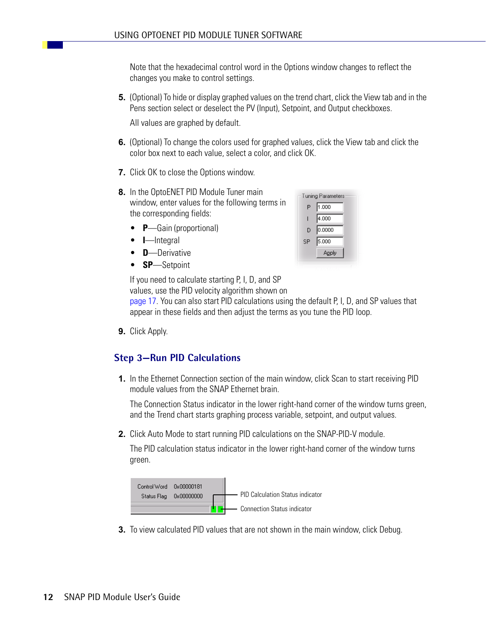Note that the hexadecimal control word in the Options window changes to reflect the changes you make to control settings.

**5.** (Optional) To hide or display graphed values on the trend chart, click the View tab and in the Pens section select or deselect the PV (Input), Setpoint, and Output checkboxes.

All values are graphed by default.

- **6.** (Optional) To change the colors used for graphed values, click the View tab and click the color box next to each value, select a color, and click OK.
- **7.** Click OK to close the Options window.
- **8.** In the OptoENET PID Module Tuner main window, enter values for the following terms in the corresponding fields:
	- **P**—Gain (proportional)
	- **I**—Integral
	- **D**—Derivative
	- **SP**—Setpoint

|    | <b>Tuning Parameters</b> |
|----|--------------------------|
| P  | 1.000                    |
|    | 4.000                    |
| D  | 0.0000                   |
| SP | 5.000                    |
|    | Apply                    |
|    |                          |

If you need to calculate starting P, I, D, and SP values, use the PID velocity algorithm shown on

[page 17.](#page-20-1) You can also start PID calculations using the default P, I, D, and SP values that appear in these fields and then adjust the terms as you tune the PID loop.

**9.** Click Apply.

#### <span id="page-15-0"></span>**Step 3—Run PID Calculations**

**1.** In the Ethernet Connection section of the main window, click Scan to start receiving PID module values from the SNAP Ethernet brain.

The Connection Status indicator in the lower right-hand corner of the window turns green, and the Trend chart starts graphing process variable, setpoint, and output values.

**2.** Click Auto Mode to start running PID calculations on the SNAP-PID-V module.

The PID calculation status indicator in the lower right-hand corner of the window turns green.



**3.** To view calculated PID values that are not shown in the main window, click Debug.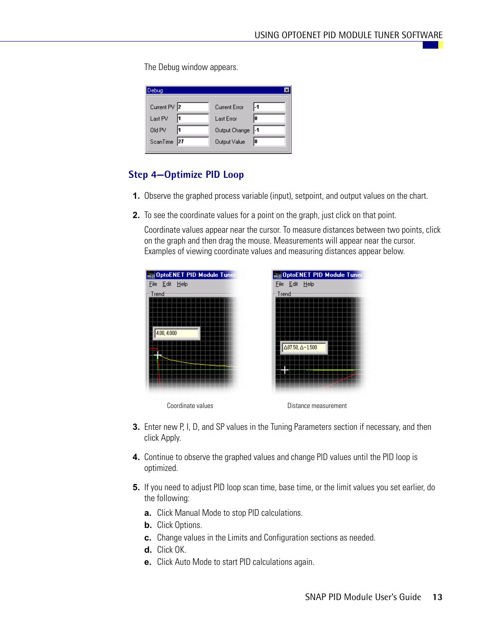The Debug window appears.

| Debug        |                   | ×   |
|--------------|-------------------|-----|
| Current PV 2 | Current Error     | l-1 |
| Last PV      | Last Error        | lo  |
| Old PV       | Output Change  -1 |     |
| ScanTime 27  | Output Value      | I٥  |

#### <span id="page-16-0"></span>**Step 4—Optimize PID Loop**

- **1.** Observe the graphed process variable (input), setpoint, and output values on the chart.
- **2.** To see the coordinate values for a point on the graph, just click on that point.

Coordinate values appear near the cursor. To measure distances between two points, click on the graph and then drag the mouse. Measurements will appear near the cursor. Examples of viewing coordinate values and measuring distances appear below.



- **3.** Enter new P, I, D, and SP values in the Tuning Parameters section if necessary, and then click Apply.
- **4.** Continue to observe the graphed values and change PID values until the PID loop is optimized.
- **5.** If you need to adjust PID loop scan time, base time, or the limit values you set earlier, do the following:
	- **a.** Click Manual Mode to stop PID calculations.
	- **b.** Click Options.
	- **c.** Change values in the Limits and Configuration sections as needed.
	- **d.** Click OK.
	- **e.** Click Auto Mode to start PID calculations again.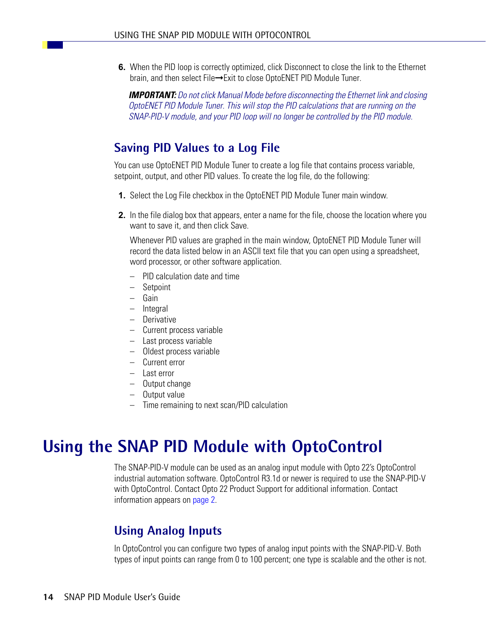**6.** When the PID loop is correctly optimized, click Disconnect to close the link to the Ethernet brain, and then select File→Exit to close OptoENET PID Module Tuner.

*IMPORTANT: Do not click Manual Mode before disconnecting the Ethernet link and closing OptoENET PID Module Tuner. This will stop the PID calculations that are running on the SNAP-PID-V module, and your PID loop will no longer be controlled by the PID module.*

## <span id="page-17-0"></span>**Saving PID Values to a Log File**

You can use OptoENET PID Module Tuner to create a log file that contains process variable, setpoint, output, and other PID values. To create the log file, do the following:

- **1.** Select the Log File checkbox in the OptoENET PID Module Tuner main window.
- **2.** In the file dialog box that appears, enter a name for the file, choose the location where you want to save it, and then click Save.

Whenever PID values are graphed in the main window, OptoENET PID Module Tuner will record the data listed below in an ASCII text file that you can open using a spreadsheet, word processor, or other software application.

- PID calculation date and time
- **Setpoint**
- Gain
- Integral
- Derivative
- Current process variable
- Last process variable
- Oldest process variable
- Current error
- Last error
- Output change
- Output value
- Time remaining to next scan/PID calculation

# <span id="page-17-1"></span>**Using the SNAP PID Module with OptoControl**

The SNAP-PID-V module can be used as an analog input module with Opto 22's OptoControl industrial automation software. OptoControl R3.1d or newer is required to use the SNAP-PID-V with OptoControl. Contact Opto 22 Product Support for additional information. Contact information appears on [page 2.](#page-5-3)

### <span id="page-17-2"></span>**Using Analog Inputs**

In OptoControl you can configure two types of analog input points with the SNAP-PID-V. Both types of input points can range from 0 to 100 percent; one type is scalable and the other is not.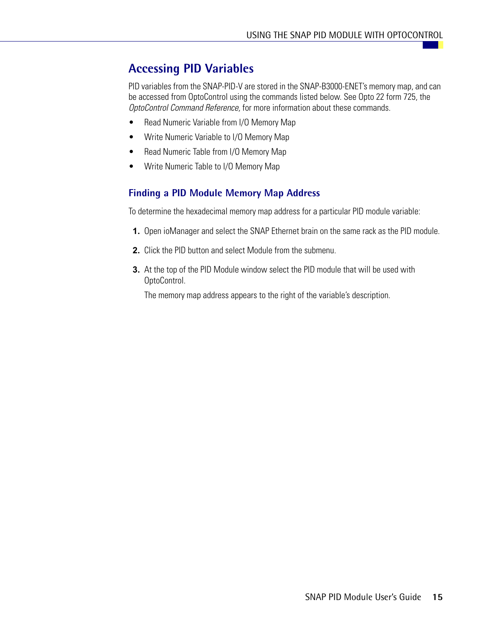### <span id="page-18-0"></span>**Accessing PID Variables**

PID variables from the SNAP-PID-V are stored in the SNAP-B3000-ENET's memory map, and can be accessed from OptoControl using the commands listed below. See Opto 22 form 725, the *OptoControl Command Reference,* for more information about these commands.

- Read Numeric Variable from I/O Memory Map
- Write Numeric Variable to I/O Memory Map
- Read Numeric Table from I/O Memory Map
- Write Numeric Table to I/O Memory Map

#### <span id="page-18-1"></span>**Finding a PID Module Memory Map Address**

To determine the hexadecimal memory map address for a particular PID module variable:

- **1.** Open ioManager and select the SNAP Ethernet brain on the same rack as the PID module.
- **2.** Click the PID button and select Module from the submenu.
- **3.** At the top of the PID Module window select the PID module that will be used with OptoControl.

The memory map address appears to the right of the variable's description.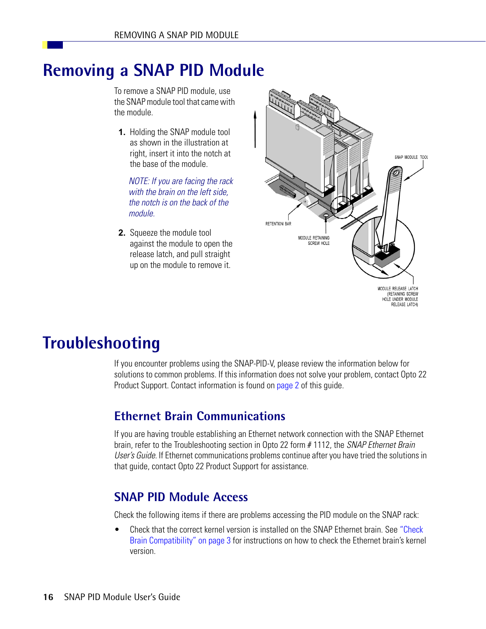# <span id="page-19-0"></span>**Removing a SNAP PID Module**

To remove a SNAP PID module, use the SNAP module tool that came with the module.

**1.** Holding the SNAP module tool as shown in the illustration at right, insert it into the notch at the base of the module.

*NOTE: If you are facing the rack with the brain on the left side, the notch is on the back of the module.*

**2.** Squeeze the module tool against the module to open the release latch, and pull straight up on the module to remove it.



# <span id="page-19-1"></span>**Troubleshooting**

If you encounter problems using the SNAP-PID-V, please review the information below for solutions to common problems. If this information does not solve your problem, contact Opto 22 Product Support. Contact information is found on [page 2](#page-5-3) of this guide.

### <span id="page-19-2"></span>**Ethernet Brain Communications**

If you are having trouble establishing an Ethernet network connection with the SNAP Ethernet brain, refer to the Troubleshooting section in Opto 22 form # 1112, the *SNAP Ethernet Brain User's Guide.* If Ethernet communications problems continue after you have tried the solutions in that guide, contact Opto 22 Product Support for assistance.

### <span id="page-19-3"></span>**SNAP PID Module Access**

Check the following items if there are problems accessing the PID module on the SNAP rack:

• Check that the correct kernel version is installed on the SNAP Ethernet brain. See "Check [Brain Compatibility" on page 3](#page-6-1) for instructions on how to check the Ethernet brain's kernel version.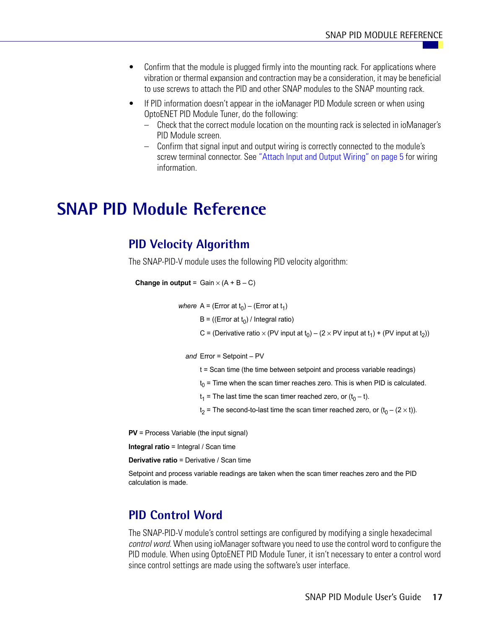- Confirm that the module is plugged firmly into the mounting rack. For applications where vibration or thermal expansion and contraction may be a consideration, it may be beneficial to use screws to attach the PID and other SNAP modules to the SNAP mounting rack.
- If PID information doesn't appear in the ioManager PID Module screen or when using OptoENET PID Module Tuner, do the following:
	- Check that the correct module location on the mounting rack is selected in ioManager's PID Module screen.
	- Confirm that signal input and output wiring is correctly connected to the module's screw terminal connector. See ["Attach Input and Output Wiring" on page 5](#page-8-0) for wiring information.

# <span id="page-20-0"></span>**SNAP PID Module Reference**

#### <span id="page-20-1"></span>**PID Velocity Algorithm**

The SNAP-PID-V module uses the following PID velocity algorithm:

```
Change in output = Gain \times (A + B - C)
```
*where*  $A = (Error at t_0) - (Error at t_1)$ 

 $B = ((Error at t<sub>0</sub>) / Integral ratio)$ 

C = (Derivative ratio  $\times$  (PV input at t<sub>0</sub>) – (2  $\times$  PV input at t<sub>1</sub>) + (PV input at t<sub>2</sub>))

*and* Error = Setpoint – PV

- t = Scan time (the time between setpoint and process variable readings)
- $t_0$  = Time when the scan timer reaches zero. This is when PID is calculated.
- $t_1$  = The last time the scan timer reached zero, or  $(t_0 t)$ .

 $t_2$  = The second-to-last time the scan timer reached zero, or  $(t_0 - (2 \times t))$ .

**PV** = Process Variable (the input signal)

**Integral ratio** = Integral / Scan time

**Derivative ratio** = Derivative / Scan time

Setpoint and process variable readings are taken when the scan timer reaches zero and the PID calculation is made.

#### <span id="page-20-2"></span>**PID Control Word**

The SNAP-PID-V module's control settings are configured by modifying a single hexadecimal *control word.* When using ioManager software you need to use the control word to configure the PID module. When using OptoENET PID Module Tuner, it isn't necessary to enter a control word since control settings are made using the software's user interface.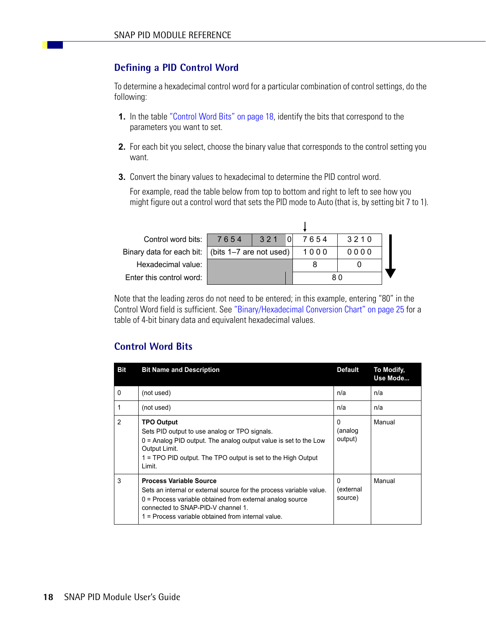#### <span id="page-21-0"></span>**Defining a PID Control Word**

To determine a hexadecimal control word for a particular combination of control settings, do the following:

- **1.** In the table ["Control Word Bits" on page 18,](#page-21-1) identify the bits that correspond to the parameters you want to set.
- **2.** For each bit you select, choose the binary value that corresponds to the control setting you want.
- **3.** Convert the binary values to hexadecimal to determine the PID control word.

For example, read the table below from top to bottom and right to left to see how you might figure out a control word that sets the PID mode to Auto (that is, by setting bit 7 to 1).

| Control word bits:                                  | 7654 | 321 |      | 7654 | 3210 |  |
|-----------------------------------------------------|------|-----|------|------|------|--|
| Binary data for each bit:   (bits 1-7 are not used) |      |     | 1000 | 0000 |      |  |
| Hexadecimal value:                                  |      |     |      |      |      |  |
| Enter this control word:                            |      |     | 80   |      |      |  |

Note that the leading zeros do not need to be entered; in this example, entering "80" in the Control Word field is sufficient. See ["Binary/Hexadecimal Conversion Chart" on page 25](#page-28-0) for a table of 4-bit binary data and equivalent hexadecimal values.

#### <span id="page-21-1"></span>**Control Word Bits**

| <b>Bit</b>     | <b>Bit Name and Description</b>                                                                                                                                                                                                                                  | <b>Default</b>            | To Modify,<br>Use Mode |
|----------------|------------------------------------------------------------------------------------------------------------------------------------------------------------------------------------------------------------------------------------------------------------------|---------------------------|------------------------|
| $\mathbf{0}$   | (not used)                                                                                                                                                                                                                                                       | n/a                       | n/a                    |
| $\overline{1}$ | (not used)                                                                                                                                                                                                                                                       | n/a                       | n/a                    |
| $\overline{2}$ | <b>TPO Output</b><br>Sets PID output to use analog or TPO signals.<br>$0 =$ Analog PID output. The analog output value is set to the Low<br>Output Limit.<br>1 = TPO PID output. The TPO output is set to the High Output<br>Limit.                              | 0<br>(analog<br>output)   | Manual                 |
| 3              | <b>Process Variable Source</b><br>Sets an internal or external source for the process variable value.<br>$0$ = Process variable obtained from external analog source<br>connected to SNAP-PID-V channel 1.<br>1 = Process variable obtained from internal value. | 0<br>(external<br>source) | Manual                 |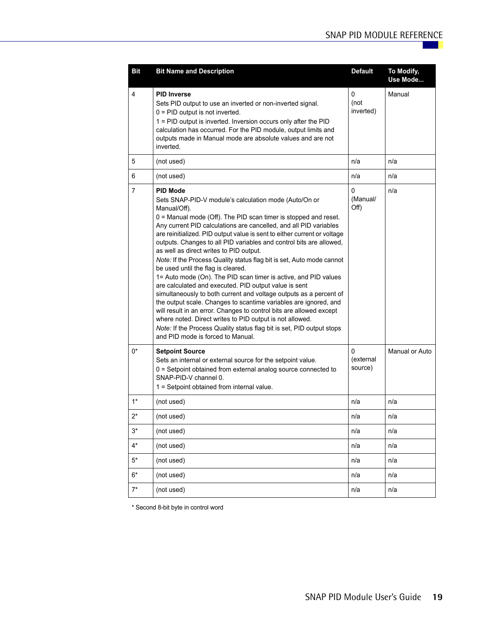| <b>Bit</b> | <b>Bit Name and Description</b>                                                                                                                                                                                                                                                                                                                                                                                                                                                                                                                                                                                                                                                                                                                                                                                                                                                                                                                                                                                                                                        | <b>Default</b>                   | To Modify,<br>Use Mode |
|------------|------------------------------------------------------------------------------------------------------------------------------------------------------------------------------------------------------------------------------------------------------------------------------------------------------------------------------------------------------------------------------------------------------------------------------------------------------------------------------------------------------------------------------------------------------------------------------------------------------------------------------------------------------------------------------------------------------------------------------------------------------------------------------------------------------------------------------------------------------------------------------------------------------------------------------------------------------------------------------------------------------------------------------------------------------------------------|----------------------------------|------------------------|
| 4          | <b>PID Inverse</b><br>Sets PID output to use an inverted or non-inverted signal.<br>$0 =$ PID output is not inverted.<br>1 = PID output is inverted. Inversion occurs only after the PID<br>calculation has occurred. For the PID module, output limits and<br>outputs made in Manual mode are absolute values and are not<br>inverted.                                                                                                                                                                                                                                                                                                                                                                                                                                                                                                                                                                                                                                                                                                                                | 0<br>(not<br>inverted)           | Manual                 |
| 5          | (not used)                                                                                                                                                                                                                                                                                                                                                                                                                                                                                                                                                                                                                                                                                                                                                                                                                                                                                                                                                                                                                                                             | n/a                              | n/a                    |
| 6          | (not used)                                                                                                                                                                                                                                                                                                                                                                                                                                                                                                                                                                                                                                                                                                                                                                                                                                                                                                                                                                                                                                                             | n/a                              | n/a                    |
| 7          | <b>PID Mode</b><br>Sets SNAP-PID-V module's calculation mode (Auto/On or<br>Manual/Off).<br>$0 =$ Manual mode (Off). The PID scan timer is stopped and reset.<br>Any current PID calculations are cancelled, and all PID variables<br>are reinitialized. PID output value is sent to either current or voltage<br>outputs. Changes to all PID variables and control bits are allowed,<br>as well as direct writes to PID output.<br>Note: If the Process Quality status flag bit is set, Auto mode cannot<br>be used until the flag is cleared.<br>1= Auto mode (On). The PID scan timer is active, and PID values<br>are calculated and executed. PID output value is sent<br>simultaneously to both current and voltage outputs as a percent of<br>the output scale. Changes to scantime variables are ignored, and<br>will result in an error. Changes to control bits are allowed except<br>where noted. Direct writes to PID output is not allowed.<br>Note: If the Process Quality status flag bit is set, PID output stops<br>and PID mode is forced to Manual. | $\mathbf{0}$<br>(Manual/<br>Off) | n/a                    |
| $0^*$      | <b>Setpoint Source</b><br>Sets an internal or external source for the setpoint value.<br>0 = Setpoint obtained from external analog source connected to<br>SNAP-PID-V channel 0.<br>1 = Setpoint obtained from internal value.                                                                                                                                                                                                                                                                                                                                                                                                                                                                                                                                                                                                                                                                                                                                                                                                                                         | $\Omega$<br>(external<br>source) | Manual or Auto         |
| $1*$       | (not used)                                                                                                                                                                                                                                                                                                                                                                                                                                                                                                                                                                                                                                                                                                                                                                                                                                                                                                                                                                                                                                                             | n/a                              | n/a                    |
| $2^*$      | (not used)                                                                                                                                                                                                                                                                                                                                                                                                                                                                                                                                                                                                                                                                                                                                                                                                                                                                                                                                                                                                                                                             | n/a                              | n/a                    |
| $3^*$      | (not used)                                                                                                                                                                                                                                                                                                                                                                                                                                                                                                                                                                                                                                                                                                                                                                                                                                                                                                                                                                                                                                                             | n/a                              | n/a                    |
| $4^*$      | (not used)                                                                                                                                                                                                                                                                                                                                                                                                                                                                                                                                                                                                                                                                                                                                                                                                                                                                                                                                                                                                                                                             | n/a                              | n/a                    |
| $5^\star$  | (not used)                                                                                                                                                                                                                                                                                                                                                                                                                                                                                                                                                                                                                                                                                                                                                                                                                                                                                                                                                                                                                                                             | n/a                              | n/a                    |
| $6^\star$  | (not used)                                                                                                                                                                                                                                                                                                                                                                                                                                                                                                                                                                                                                                                                                                                                                                                                                                                                                                                                                                                                                                                             | n/a                              | n/a                    |
| $7^*$      | (not used)                                                                                                                                                                                                                                                                                                                                                                                                                                                                                                                                                                                                                                                                                                                                                                                                                                                                                                                                                                                                                                                             | n/a                              | n/a                    |

\* Second 8-bit byte in control word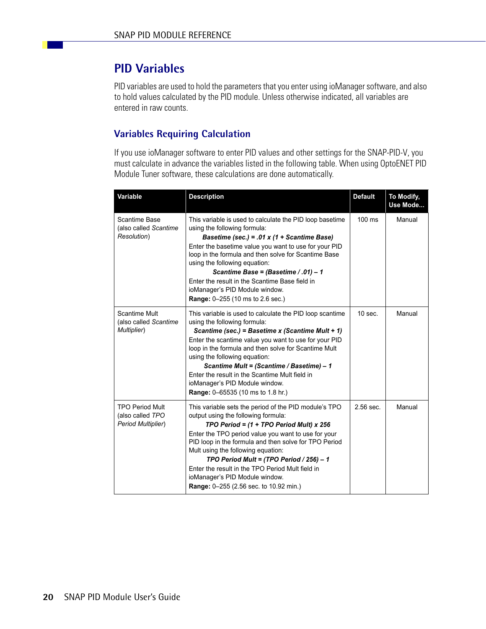## <span id="page-23-0"></span>**PID Variables**

PID variables are used to hold the parameters that you enter using ioManager software, and also to hold values calculated by the PID module. Unless otherwise indicated, all variables are entered in raw counts.

#### <span id="page-23-1"></span>**Variables Requiring Calculation**

If you use ioManager software to enter PID values and other settings for the SNAP-PID-V, you must calculate in advance the variables listed in the following table. When using OptoENET PID Module Tuner software, these calculations are done automatically.

| Variable                                                         | <b>Description</b>                                                                                                                                                                                                                                                                                                                                                                                                                                                           | <b>Default</b> | <b>To Modify,</b><br>Use Mode |
|------------------------------------------------------------------|------------------------------------------------------------------------------------------------------------------------------------------------------------------------------------------------------------------------------------------------------------------------------------------------------------------------------------------------------------------------------------------------------------------------------------------------------------------------------|----------------|-------------------------------|
| Scantime Base<br>(also called Scantime<br>Resolution)            | This variable is used to calculate the PID loop basetime<br>using the following formula:<br>Basetime (sec.) = .01 x (1 + Scantime Base)<br>Enter the basetime value you want to use for your PID<br>loop in the formula and then solve for Scantime Base<br>using the following equation:<br>Scantime Base = (Basetime / .01) - 1<br>Enter the result in the Scantime Base field in<br>ioManager's PID Module window.<br>Range: 0-255 (10 ms to 2.6 sec.)                    | 100 ms         | Manual                        |
| <b>Scantime Mult</b><br>(also called Scantime<br>Multiplier)     | This variable is used to calculate the PID loop scantime<br>using the following formula:<br>Scantime (sec.) = Basetime x (Scantime Mult + 1)<br>Enter the scantime value you want to use for your PID<br>loop in the formula and then solve for Scantime Mult<br>using the following equation:<br>Scantime Mult = (Scantime / Basetime) - 1<br>Enter the result in the Scantime Mult field in<br>ioManager's PID Module window.<br>Range: 0-65535 (10 ms to 1.8 hr.)         | $10$ sec.      | Manual                        |
| <b>TPO Period Mult</b><br>(also called TPO<br>Period Multiplier) | This variable sets the period of the PID module's TPO<br>output using the following formula:<br>TPO Period = $(1 + TPO$ Period Mult) x 256<br>Enter the TPO period value you want to use for your<br>PID loop in the formula and then solve for TPO Period<br>Mult using the following equation:<br>TPO Period Mult = (TPO Period / 256) - 1<br>Enter the result in the TPO Period Mult field in<br>ioManager's PID Module window.<br>Range: 0-255 (2.56 sec. to 10.92 min.) | 2.56 sec.      | Manual                        |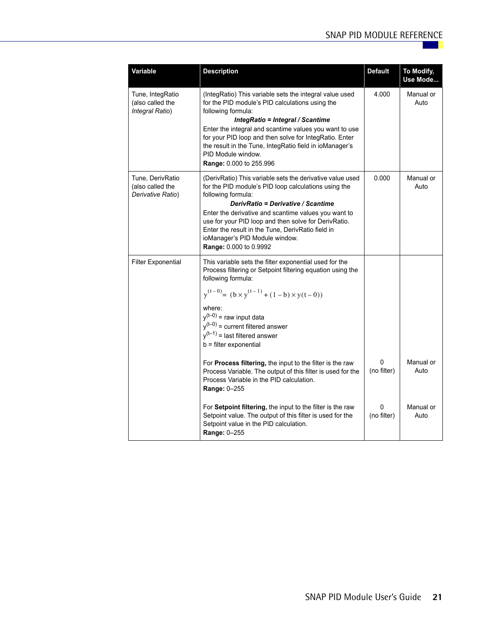| Variable                                                  | <b>Description</b>                                                                                                                                                                                                                                                                                                                                                                                             | <b>Default</b>   | To Modify,<br>Use Mode |
|-----------------------------------------------------------|----------------------------------------------------------------------------------------------------------------------------------------------------------------------------------------------------------------------------------------------------------------------------------------------------------------------------------------------------------------------------------------------------------------|------------------|------------------------|
| Tune, IntegRatio<br>(also called the<br>Integral Ratio)   | (IntegRatio) This variable sets the integral value used<br>for the PID module's PID calculations using the<br>following formula:<br>IntegRatio = Integral / Scantime<br>Enter the integral and scantime values you want to use<br>for your PID loop and then solve for IntegRatio. Enter<br>the result in the Tune, IntegRatio field in ioManager's<br>PID Module window.<br>Range: 0.000 to 255.996           | 4.000            | Manual or<br>Auto      |
| Tune, DerivRatio<br>(also called the<br>Derivative Ratio) | (DerivRatio) This variable sets the derivative value used<br>for the PID module's PID loop calculations using the<br>following formula:<br>DerivRatio = Derivative / Scantime<br>Enter the derivative and scantime values you want to<br>use for your PID loop and then solve for DerivRatio.<br>Enter the result in the Tune, DerivRatio field in<br>ioManager's PID Module window.<br>Range: 0.000 to 0.9992 | 0.000            | Manual or<br>Auto      |
| <b>Filter Exponential</b>                                 | This variable sets the filter exponential used for the<br>Process filtering or Setpoint filtering equation using the<br>following formula:<br>$y^{(t-0)} = (b \times y^{(t-1)} + (1-b) \times y(t-0))$<br>where:<br>$y^{(t-0)}$ = raw input data<br>$y^{(t-0)}$ = current filtered answer<br>$y^{(t-1)}$ = last filtered answer<br>b = filter exponential                                                      |                  |                        |
|                                                           | For Process filtering, the input to the filter is the raw<br>Process Variable. The output of this filter is used for the<br>Process Variable in the PID calculation.<br>Range: 0-255                                                                                                                                                                                                                           | 0<br>(no filter) | Manual or<br>Auto      |
|                                                           | For Setpoint filtering, the input to the filter is the raw<br>Setpoint value. The output of this filter is used for the<br>Setpoint value in the PID calculation.<br>Range: 0-255                                                                                                                                                                                                                              | 0<br>(no filter) | Manual or<br>Auto      |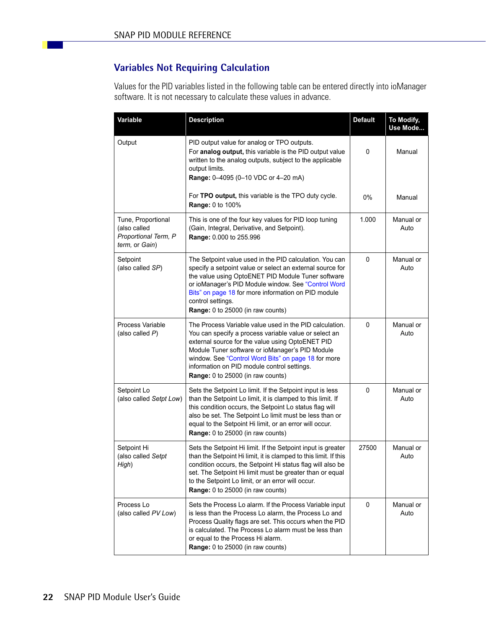#### <span id="page-25-0"></span>**Variables Not Requiring Calculation**

Values for the PID variables listed in the following table can be entered directly into ioManager software. It is not necessary to calculate these values in advance.

| Variable                                                                     | <b>Description</b>                                                                                                                                                                                                                                                                                                                                                 | <b>Default</b> | To Modify,<br>Use Mode |
|------------------------------------------------------------------------------|--------------------------------------------------------------------------------------------------------------------------------------------------------------------------------------------------------------------------------------------------------------------------------------------------------------------------------------------------------------------|----------------|------------------------|
| Output                                                                       | PID output value for analog or TPO outputs.<br>For analog output, this variable is the PID output value<br>written to the analog outputs, subject to the applicable<br>output limits.<br>Range: 0-4095 (0-10 VDC or 4-20 mA)                                                                                                                                       | 0              | Manual                 |
|                                                                              | For TPO output, this variable is the TPO duty cycle.<br>Range: 0 to 100%                                                                                                                                                                                                                                                                                           | 0%             | Manual                 |
| Tune, Proportional<br>(also called<br>Proportional Term, P<br>term, or Gain) | This is one of the four key values for PID loop tuning<br>(Gain, Integral, Derivative, and Setpoint).<br>Range: 0.000 to 255.996                                                                                                                                                                                                                                   | 1.000          | Manual or<br>Auto      |
| Setpoint<br>(also called SP)                                                 | The Setpoint value used in the PID calculation. You can<br>specify a setpoint value or select an external source for<br>the value using OptoENET PID Module Tuner software<br>or ioManager's PID Module window. See "Control Word<br>Bits" on page 18 for more information on PID module<br>control settings.<br>Range: 0 to 25000 (in raw counts)                 | 0              | Manual or<br>Auto      |
| Process Variable<br>(also called $P$ )                                       | The Process Variable value used in the PID calculation.<br>You can specify a process variable value or select an<br>external source for the value using OptoENET PID<br>Module Tuner software or ioManager's PID Module<br>window. See "Control Word Bits" on page 18 for more<br>information on PID module control settings.<br>Range: 0 to 25000 (in raw counts) | 0              | Manual or<br>Auto      |
| Setpoint Lo<br>(also called Setpt Low)                                       | Sets the Setpoint Lo limit. If the Setpoint input is less<br>than the Setpoint Lo limit, it is clamped to this limit. If<br>this condition occurs, the Setpoint Lo status flag will<br>also be set. The Setpoint Lo limit must be less than or<br>equal to the Setpoint Hi limit, or an error will occur.<br>Range: 0 to 25000 (in raw counts)                     | 0              | Manual or<br>Auto      |
| Setpoint Hi<br>(also called Setpt<br>High)                                   | Sets the Setpoint Hi limit. If the Setpoint input is greater<br>than the Setpoint Hi limit, it is clamped to this limit. If this<br>condition occurs, the Setpoint Hi status flag will also be<br>set. The Setpoint Hi limit must be greater than or equal<br>to the Setpoint Lo limit, or an error will occur.<br>Range: 0 to 25000 (in raw counts)               | 27500          | Manual or<br>Auto      |
| Process Lo<br>(also called PV Low)                                           | Sets the Process Lo alarm. If the Process Variable input<br>is less than the Process Lo alarm, the Process Lo and<br>Process Quality flags are set. This occurs when the PID<br>is calculated. The Process Lo alarm must be less than<br>or equal to the Process Hi alarm.<br>Range: 0 to 25000 (in raw counts)                                                    | 0              | Manual or<br>Auto      |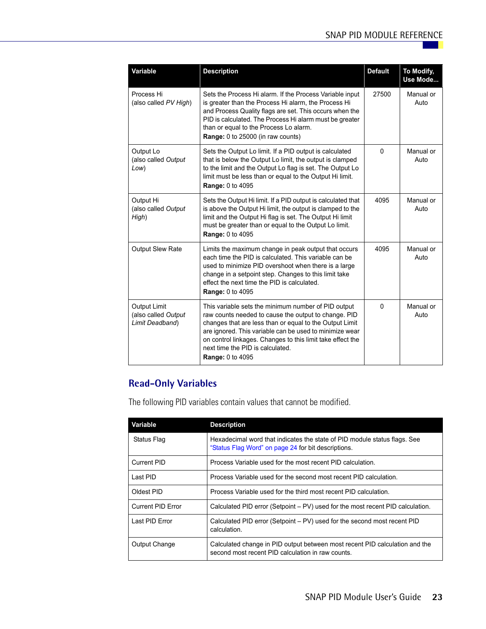| Variable                                                      | <b>Description</b>                                                                                                                                                                                                                                                                                                                                             | <b>Default</b> | To Modify,<br>Use Mode |
|---------------------------------------------------------------|----------------------------------------------------------------------------------------------------------------------------------------------------------------------------------------------------------------------------------------------------------------------------------------------------------------------------------------------------------------|----------------|------------------------|
| Process Hi<br>(also called PV High)                           | Sets the Process Hi alarm. If the Process Variable input<br>is greater than the Process Hi alarm, the Process Hi<br>and Process Quality flags are set. This occurs when the<br>PID is calculated. The Process Hi alarm must be greater<br>than or equal to the Process Lo alarm.<br>Range: 0 to 25000 (in raw counts)                                          | 27500          | Manual or<br>Auto      |
| Output Lo<br>(also called Output<br>Low)                      | Sets the Output Lo limit. If a PID output is calculated<br>that is below the Output Lo limit, the output is clamped<br>to the limit and the Output Lo flag is set. The Output Lo<br>limit must be less than or equal to the Output Hi limit.<br><b>Range: 0 to 4095</b>                                                                                        | $\mathbf{0}$   | Manual or<br>Auto      |
| Output Hi<br>(also called Output<br>High)                     | Sets the Output Hi limit. If a PID output is calculated that<br>is above the Output Hi limit, the output is clamped to the<br>limit and the Output Hi flag is set. The Output Hi limit<br>must be greater than or equal to the Output Lo limit.<br><b>Range: 0 to 4095</b>                                                                                     | 4095           | Manual or<br>Auto      |
| Output Slew Rate                                              | Limits the maximum change in peak output that occurs<br>each time the PID is calculated. This variable can be<br>used to minimize PID overshoot when there is a large<br>change in a setpoint step. Changes to this limit take<br>effect the next time the PID is calculated.<br><b>Range: 0 to 4095</b>                                                       | 4095           | Manual or<br>Auto      |
| <b>Output Limit</b><br>(also called Output<br>Limit Deadband) | This variable sets the minimum number of PID output<br>raw counts needed to cause the output to change. PID<br>changes that are less than or equal to the Output Limit<br>are ignored. This variable can be used to minimize wear<br>on control linkages. Changes to this limit take effect the<br>next time the PID is calculated.<br><b>Range: 0 to 4095</b> | $\Omega$       | Manual or<br>Auto      |

#### <span id="page-26-0"></span>**Read-Only Variables**

The following PID variables contain values that cannot be modified.

| Variable                 | <b>Description</b>                                                                                                               |
|--------------------------|----------------------------------------------------------------------------------------------------------------------------------|
| Status Flag              | Hexadecimal word that indicates the state of PID module status flags. See<br>"Status Flag Word" on page 24 for bit descriptions. |
| Current PID              | Process Variable used for the most recent PID calculation.                                                                       |
| Last PID                 | Process Variable used for the second most recent PID calculation.                                                                |
| Oldest PID               | Process Variable used for the third most recent PID calculation.                                                                 |
| <b>Current PID Error</b> | Calculated PID error (Setpoint – PV) used for the most recent PID calculation.                                                   |
| Last PID Error           | Calculated PID error (Setpoint – PV) used for the second most recent PID<br>calculation.                                         |
| Output Change            | Calculated change in PID output between most recent PID calculation and the<br>second most recent PID calculation in raw counts. |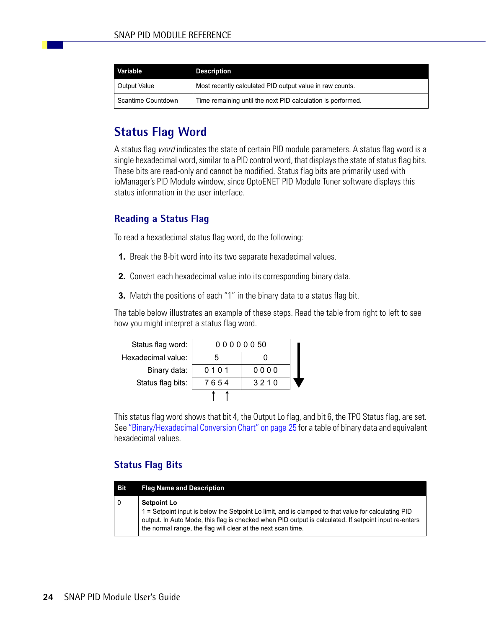| Variable           | <b>Description</b>                                          |
|--------------------|-------------------------------------------------------------|
| Output Value       | Most recently calculated PID output value in raw counts.    |
| Scantime Countdown | Time remaining until the next PID calculation is performed. |

## <span id="page-27-0"></span>**Status Flag Word**

A status flag *word* indicates the state of certain PID module parameters. A status flag word is a single hexadecimal word, similar to a PID control word, that displays the state of status flag bits. These bits are read-only and cannot be modified. Status flag bits are primarily used with ioManager's PID Module window, since OptoENET PID Module Tuner software displays this status information in the user interface.

#### <span id="page-27-1"></span>**Reading a Status Flag**

To read a hexadecimal status flag word, do the following:

- **1.** Break the 8-bit word into its two separate hexadecimal values.
- **2.** Convert each hexadecimal value into its corresponding binary data.
- **3.** Match the positions of each "1" in the binary data to a status flag bit.

The table below illustrates an example of these steps. Read the table from right to left to see how you might interpret a status flag word.

| Status flag word:  | 00000050 |      |  |
|--------------------|----------|------|--|
| Hexadecimal value: | ٠h       |      |  |
| Binary data:       | 0101     | 0000 |  |
| Status flag bits:  | 7654     | 3210 |  |
|                    |          |      |  |

This status flag word shows that bit 4, the Output Lo flag, and bit 6, the TPO Status flag, are set. See ["Binary/Hexadecimal Conversion Chart" on page 25](#page-28-0) for a table of binary data and equivalent hexadecimal values.

#### <span id="page-27-2"></span>**Status Flag Bits**

| <b>Bit</b> | <b>Flag Name and Description</b>                                                                                                                                                                                                                                                                   |
|------------|----------------------------------------------------------------------------------------------------------------------------------------------------------------------------------------------------------------------------------------------------------------------------------------------------|
| 0          | <b>Setpoint Lo</b><br>1 = Setpoint input is below the Setpoint Lo limit, and is clamped to that value for calculating PID<br>output. In Auto Mode, this flag is checked when PID output is calculated. If setpoint input re-enters<br>the normal range, the flag will clear at the next scan time. |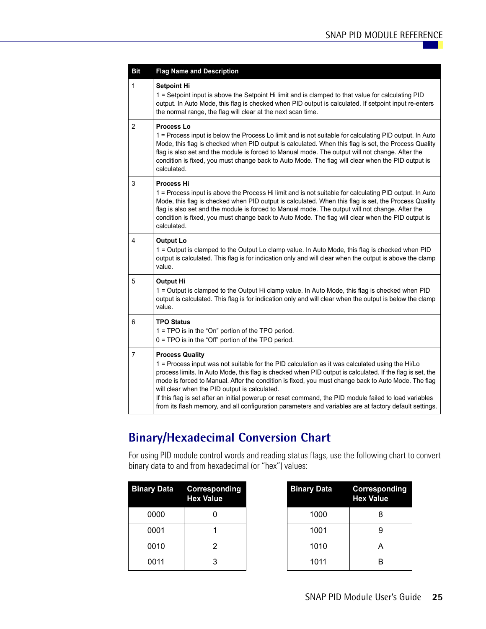| <b>Bit</b>     | <b>Flag Name and Description</b>                                                                                                                                                                                                                                                                                                                                                                                                                                                                                                                                                                                   |
|----------------|--------------------------------------------------------------------------------------------------------------------------------------------------------------------------------------------------------------------------------------------------------------------------------------------------------------------------------------------------------------------------------------------------------------------------------------------------------------------------------------------------------------------------------------------------------------------------------------------------------------------|
| 1              | <b>Setpoint Hi</b><br>1 = Setpoint input is above the Setpoint Hi limit and is clamped to that value for calculating PID<br>output. In Auto Mode, this flag is checked when PID output is calculated. If setpoint input re-enters<br>the normal range, the flag will clear at the next scan time.                                                                                                                                                                                                                                                                                                                  |
| 2              | Process Lo<br>1 = Process input is below the Process Lo limit and is not suitable for calculating PID output. In Auto<br>Mode, this flag is checked when PID output is calculated. When this flag is set, the Process Quality<br>flag is also set and the module is forced to Manual mode. The output will not change. After the<br>condition is fixed, you must change back to Auto Mode. The flag will clear when the PID output is<br>calculated.                                                                                                                                                               |
| 3              | <b>Process Hi</b><br>1 = Process input is above the Process Hi limit and is not suitable for calculating PID output. In Auto<br>Mode, this flag is checked when PID output is calculated. When this flag is set, the Process Quality<br>flag is also set and the module is forced to Manual mode. The output will not change. After the<br>condition is fixed, you must change back to Auto Mode. The flag will clear when the PID output is<br>calculated.                                                                                                                                                        |
| 4              | Output Lo<br>1 = Output is clamped to the Output Lo clamp value. In Auto Mode, this flag is checked when PID<br>output is calculated. This flag is for indication only and will clear when the output is above the clamp<br>value.                                                                                                                                                                                                                                                                                                                                                                                 |
| 5              | <b>Output Hi</b><br>1 = Output is clamped to the Output Hi clamp value. In Auto Mode, this flag is checked when PID<br>output is calculated. This flag is for indication only and will clear when the output is below the clamp<br>value.                                                                                                                                                                                                                                                                                                                                                                          |
| 6              | TPO Status<br>1 = TPO is in the "On" portion of the TPO period.<br>0 = TPO is in the "Off" portion of the TPO period.                                                                                                                                                                                                                                                                                                                                                                                                                                                                                              |
| $\overline{7}$ | <b>Process Quality</b><br>1 = Process input was not suitable for the PID calculation as it was calculated using the Hi/Lo<br>process limits. In Auto Mode, this flag is checked when PID output is calculated. If the flag is set, the<br>mode is forced to Manual. After the condition is fixed, you must change back to Auto Mode. The flag<br>will clear when the PID output is calculated.<br>If this flag is set after an initial powerup or reset command, the PID module failed to load variables<br>from its flash memory, and all configuration parameters and variables are at factory default settings. |

# <span id="page-28-0"></span>**Binary/Hexadecimal Conversion Chart**

For using PID module control words and reading status flags, use the following chart to convert binary data to and from hexadecimal (or "hex") values:

| <b>Binary Data</b> | Corresponding<br><b>Hex Value</b> | <b>Binary Data</b> | Correspo<br><b>Hex Valu</b> |
|--------------------|-----------------------------------|--------------------|-----------------------------|
| 0000               |                                   | 1000               | 8                           |
| 0001               |                                   | 1001               | 9                           |
| 0010               |                                   | 1010               | А                           |
| 0011               |                                   | 1011               | B                           |

| <b>Binary Data</b> | <b>Corresponding</b><br><b>Hex Value</b> |
|--------------------|------------------------------------------|
| 1000               | 8                                        |
| 1001               | 9                                        |
| 1010               | A                                        |
| 1011               | R                                        |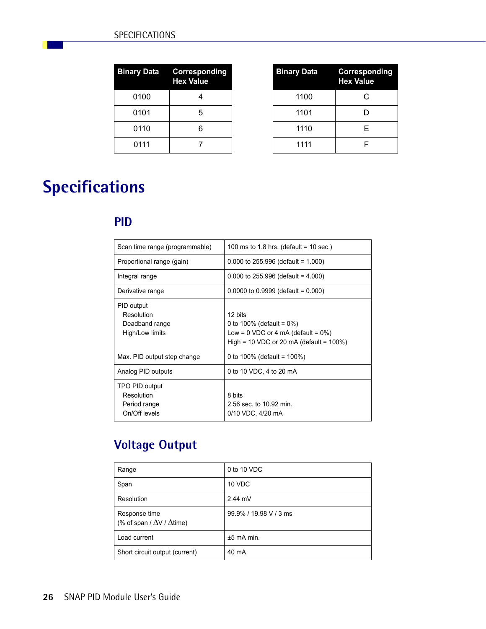|      | <b>Binary Data Corresponding</b><br><b>Hex Value</b> |
|------|------------------------------------------------------|
| 0100 |                                                      |
| 0101 | 5                                                    |
| 0110 | 6                                                    |
| 0111 |                                                      |

| ry Data | Corresponding<br><b>Hex Value</b> | <b>Binary Data</b> | <b>Corresponding</b><br><b>Hex Value</b> |
|---------|-----------------------------------|--------------------|------------------------------------------|
| 0100    |                                   | 1100               | C                                        |
| 0101    | 5                                 | 1101               |                                          |
| 0110    | 6                                 | 1110               | F                                        |
| 0111    |                                   | 1111               |                                          |

# <span id="page-29-0"></span>**Specifications**

## <span id="page-29-1"></span>**PID**

| Scan time range (programmable)                                | 100 ms to 1.8 hrs. (default = 10 sec.)                                                                                             |
|---------------------------------------------------------------|------------------------------------------------------------------------------------------------------------------------------------|
| Proportional range (gain)                                     | $0.000$ to 255.996 (default = 1.000)                                                                                               |
| Integral range                                                | 0.000 to 255.996 (default = $4.000$ )                                                                                              |
| Derivative range                                              | $0.0000$ to $0.9999$ (default = 0.000)                                                                                             |
| PID output<br>Resolution<br>Deadband range<br>High/Low limits | 12 bits<br>0 to 100% (default = $0\%$ )<br>Low = $0$ VDC or 4 mA (default = $0\%$ )<br>High = 10 VDC or 20 mA (default = $100\%$ ) |
| Max. PID output step change                                   | 0 to 100% (default = $100\%$ )                                                                                                     |
| Analog PID outputs                                            | 0 to 10 VDC, 4 to 20 mA                                                                                                            |
| TPO PID output<br>Resolution<br>Period range<br>On/Off levels | 8 bits<br>2.56 sec. to 10.92 min.<br>0/10 VDC, 4/20 mA                                                                             |

# <span id="page-29-2"></span>**Voltage Output**

| Range                                                     | 0 to 10 VDC            |
|-----------------------------------------------------------|------------------------|
| Span                                                      | 10 VDC                 |
| Resolution                                                | $2.44$ mV              |
| Response time<br>(% of span / $\Delta$ V / $\Delta$ time) | 99.9% / 19.98 V / 3 ms |
| Load current                                              | $±5$ mA min.           |
| Short circuit output (current)                            | 40 mA                  |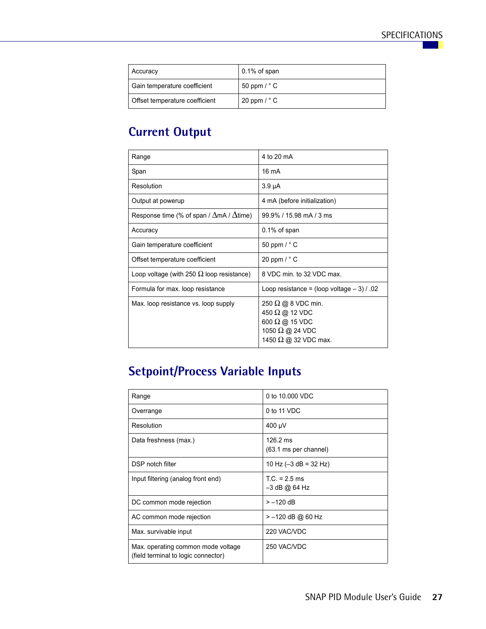| Accuracy                       | $0.1\%$ of span             |
|--------------------------------|-----------------------------|
| Gain temperature coefficient   | 50 ppm $/$ $\degree$ C      |
| Offset temperature coefficient | 20 ppm $\text{/} \degree$ C |

# <span id="page-30-0"></span>**Current Output**

| Range                                                   | 4 to 20 mA                                                                                                                           |
|---------------------------------------------------------|--------------------------------------------------------------------------------------------------------------------------------------|
| Span                                                    | $16 \text{ mA}$                                                                                                                      |
| Resolution                                              | $3.9 \mu A$                                                                                                                          |
| Output at powerup                                       | 4 mA (before initialization)                                                                                                         |
| Response time (% of span / $\Delta$ mA / $\Delta$ time) | 99.9% / 15.98 mA / 3 ms                                                                                                              |
| Accuracy                                                | $0.1\%$ of span                                                                                                                      |
| Gain temperature coefficient                            | 50 ppm $\text{/} \degree$ C                                                                                                          |
| Offset temperature coefficient                          | 20 ppm $\frac{1}{2}$ C                                                                                                               |
| Loop voltage (with 250 $\Omega$ loop resistance)        | 8 VDC min. to 32 VDC max.                                                                                                            |
| Formula for max. loop resistance                        | Loop resistance = $\frac{1}{2}$ (loop voltage $-3$ ) / .02                                                                           |
| Max. loop resistance vs. loop supply                    | 250 $\Omega$ @ 8 VDC min.<br>450 $\Omega$ @ 12 VDC<br>600 $\Omega$ @ 15 VDC<br>1050 $\Omega$ @ 24 VDC<br>1450 $\Omega$ @ 32 VDC max. |

# <span id="page-30-1"></span>**Setpoint/Process Variable Inputs**

| Range                                                                     | 0 to 10,000 VDC                             |
|---------------------------------------------------------------------------|---------------------------------------------|
| Overrange                                                                 | 0 to 11 VDC                                 |
| Resolution                                                                | 400 µV                                      |
| Data freshness (max.)                                                     | $126.2 \text{ ms}$<br>(63.1 ms per channel) |
| DSP notch filter                                                          | 10 Hz $(-3$ dB = 32 Hz)                     |
| Input filtering (analog front end)                                        | $T.C. = 2.5$ ms<br>-3 dB @ 64 Hz            |
| DC common mode rejection                                                  | $> -120$ dB                                 |
| AC common mode rejection                                                  | > -120 dB @ 60 Hz                           |
| Max. survivable input                                                     | 220 VAC/VDC                                 |
| Max. operating common mode voltage<br>(field terminal to logic connector) | 250 VAC/VDC                                 |